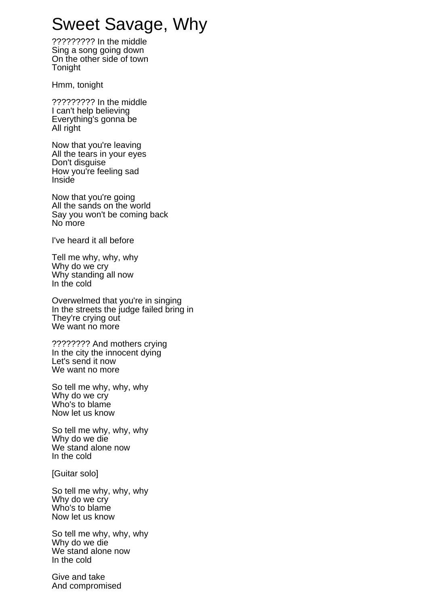## Sweet Savage, Why

????????? In the middle Sing a song going down On the other side of town Tonight

Hmm, tonight

????????? In the middle I can't help believing Everything's gonna be All right

Now that you're leaving All the tears in your eyes Don't disguise How you're feeling sad Inside

Now that you're going All the sands on the world Say you won't be coming back No more

I've heard it all before

Tell me why, why, why Why do we cry Why standing all now In the cold

Overwelmed that you're in singing In the streets the judge failed bring in They're crying out We want no more

???????? And mothers crying In the city the innocent dying Let's send it now We want no more

So tell me why, why, why Why do we cry Who's to blame Now let us know

So tell me why, why, why Why do we die We stand alone now In the cold

[Guitar solo]

So tell me why, why, why Why do we cry Who's to blame Now let us know

So tell me why, why, why Why do we die We stand alone now In the cold

Give and take And compromised